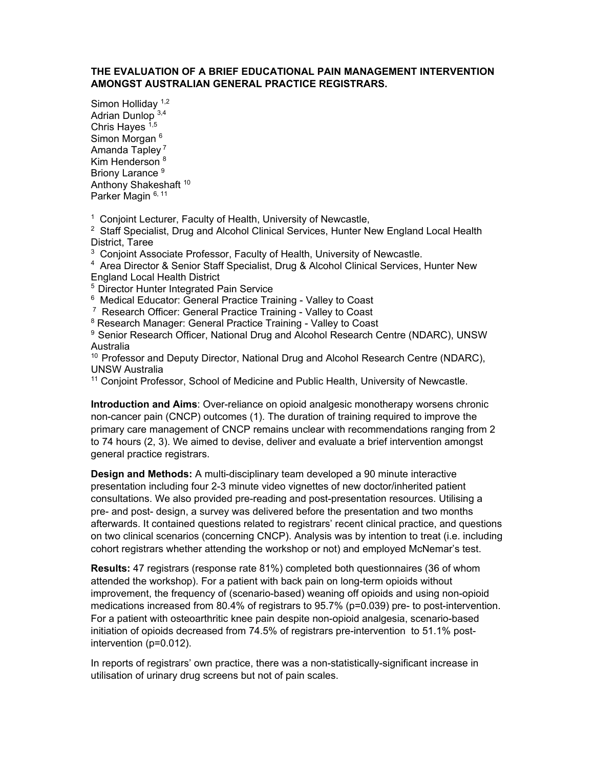## **THE EVALUATION OF A BRIEF EDUCATIONAL PAIN MANAGEMENT INTERVENTION AMONGST AUSTRALIAN GENERAL PRACTICE REGISTRARS.**

Simon Hollidav<sup>1,2</sup> Adrian Dunlop 3,4 Chris Hayes  $1,5$ Simon Morgan <sup>6</sup> Amanda Tapley 7 Kim Henderson<sup>8</sup> Briony Larance<sup>9</sup> Anthony Shakeshaft<sup>10</sup> Parker Magin 6, 11

<sup>1</sup> Conjoint Lecturer, Faculty of Health, University of Newcastle,

<sup>2</sup> Staff Specialist, Drug and Alcohol Clinical Services, Hunter New England Local Health District, Taree

 $3$  Conjoint Associate Professor, Faculty of Health, University of Newcastle.

<sup>4</sup> Area Director & Senior Staff Specialist, Drug & Alcohol Clinical Services, Hunter New England Local Health District

5 Director Hunter Integrated Pain Service

6 Medical Educator: General Practice Training - Valley to Coast

7 Research Officer: General Practice Training - Valley to Coast

<sup>8</sup> Research Manager: General Practice Training - Valley to Coast

<sup>9</sup> Senior Research Officer, National Drug and Alcohol Research Centre (NDARC), UNSW Australia

<sup>10</sup> Professor and Deputy Director, National Drug and Alcohol Research Centre (NDARC), UNSW Australia

11 Conjoint Professor, School of Medicine and Public Health, University of Newcastle.

**Introduction and Aims**: Over-reliance on opioid analgesic monotherapy worsens chronic non-cancer pain (CNCP) outcomes (1). The duration of training required to improve the primary care management of CNCP remains unclear with recommendations ranging from 2 to 74 hours (2, 3). We aimed to devise, deliver and evaluate a brief intervention amongst general practice registrars.

**Design and Methods:** A multi-disciplinary team developed a 90 minute interactive presentation including four 2-3 minute video vignettes of new doctor/inherited patient consultations. We also provided pre-reading and post-presentation resources. Utilising a pre- and post- design, a survey was delivered before the presentation and two months afterwards. It contained questions related to registrars' recent clinical practice, and questions on two clinical scenarios (concerning CNCP). Analysis was by intention to treat (i.e. including cohort registrars whether attending the workshop or not) and employed McNemar's test.

**Results:** 47 registrars (response rate 81%) completed both questionnaires (36 of whom attended the workshop). For a patient with back pain on long-term opioids without improvement, the frequency of (scenario-based) weaning off opioids and using non-opioid medications increased from 80.4% of registrars to 95.7% (p=0.039) pre- to post-intervention. For a patient with osteoarthritic knee pain despite non-opioid analgesia, scenario-based initiation of opioids decreased from 74.5% of registrars pre-intervention to 51.1% postintervention (p=0.012).

In reports of registrars' own practice, there was a non-statistically-significant increase in utilisation of urinary drug screens but not of pain scales.